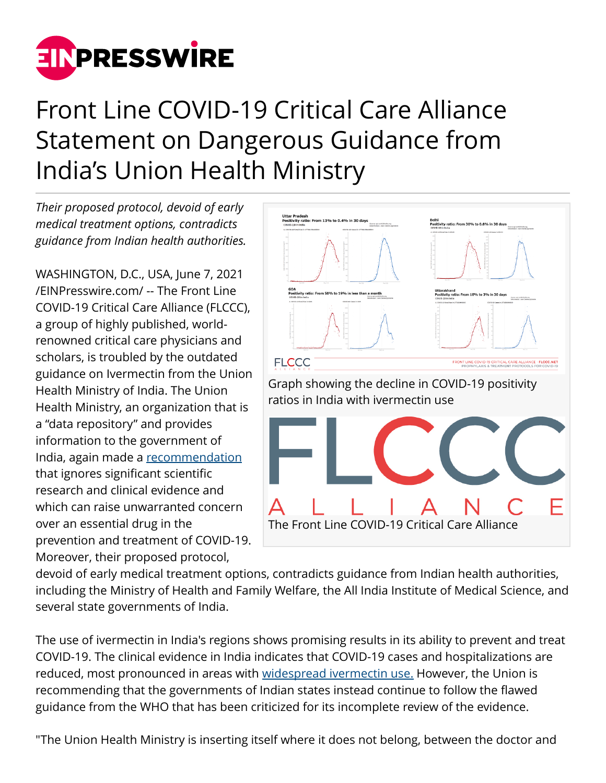

## Front Line COVID-19 Critical Care Alliance Statement on Dangerous Guidance from India's Union Health Ministry

*Their proposed protocol, devoid of early medical treatment options, contradicts guidance from Indian health authorities.*

WASHINGTON, D.C., USA, June 7, 2021 [/EINPresswire.com/](http://www.einpresswire.com) -- The Front Line COVID-19 Critical Care Alliance (FLCCC), a group of highly published, worldrenowned critical care physicians and scholars, is troubled by the outdated guidance on Ivermectin from the Union Health Ministry of India. The Union Health Ministry, an organization that is a "data repository" and provides information to the government of India, again made a [recommendation](https://dghs.gov.in/WriteReadData/Orders/202105270435011364109ComprehensiveGuidelinesforManagementofCOVID-1927May2021DteGHS.pdf) that ignores significant scientific research and clinical evidence and which can raise unwarranted concern over an essential drug in the prevention and treatment of COVID-19. Moreover, their proposed protocol,



devoid of early medical treatment options, contradicts guidance from Indian health authorities, including the Ministry of Health and Family Welfare, the All India Institute of Medical Science, and several state governments of India.

The use of ivermectin in India's regions shows promising results in its ability to prevent and treat COVID-19. The clinical evidence in India indicates that COVID-19 cases and hospitalizations are reduced, most pronounced in areas with [widespread ivermectin use.](https://twitter.com/Covid19Critical/status/1402030931515424769?s=20) However, the Union is recommending that the governments of Indian states instead continue to follow the flawed guidance from the WHO that has been criticized for its incomplete review of the evidence.

"The Union Health Ministry is inserting itself where it does not belong, between the doctor and